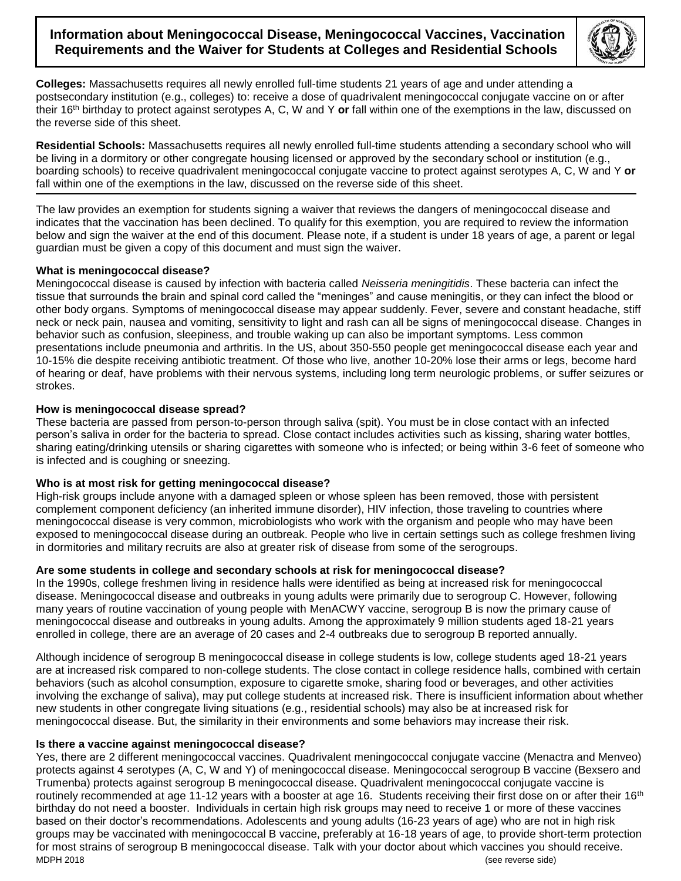# **Information about Meningococcal Disease, Meningococcal Vaccines, Vaccination Requirements and the Waiver for Students at Colleges and Residential Schools**



**Colleges:** Massachusetts requires all newly enrolled full-time students 21 years of age and under attending a postsecondary institution (e.g., colleges) to: receive a dose of quadrivalent meningococcal conjugate vaccine on or after their 16th birthday to protect against serotypes A, C, W and Y **or** fall within one of the exemptions in the law, discussed on the reverse side of this sheet.

**Residential Schools:** Massachusetts requires all newly enrolled full-time students attending a secondary school who will be living in a dormitory or other congregate housing licensed or approved by the secondary school or institution (e.g., boarding schools) to receive quadrivalent meningococcal conjugate vaccine to protect against serotypes A, C, W and Y **or** fall within one of the exemptions in the law, discussed on the reverse side of this sheet.

The law provides an exemption for students signing a waiver that reviews the dangers of meningococcal disease and indicates that the vaccination has been declined. To qualify for this exemption, you are required to review the information below and sign the waiver at the end of this document. Please note, if a student is under 18 years of age, a parent or legal guardian must be given a copy of this document and must sign the waiver.

#### **What is meningococcal disease?**

Meningococcal disease is caused by infection with bacteria called *Neisseria meningitidis*. These bacteria can infect the tissue that surrounds the brain and spinal cord called the "meninges" and cause meningitis, or they can infect the blood or other body organs. Symptoms of meningococcal disease may appear suddenly. Fever, severe and constant headache, stiff neck or neck pain, nausea and vomiting, sensitivity to light and rash can all be signs of meningococcal disease. Changes in behavior such as confusion, sleepiness, and trouble waking up can also be important symptoms. Less common presentations include pneumonia and arthritis. In the US, about 350-550 people get meningococcal disease each year and 10-15% die despite receiving antibiotic treatment. Of those who live, another 10-20% lose their arms or legs, become hard of hearing or deaf, have problems with their nervous systems, including long term neurologic problems, or suffer seizures or strokes.

#### **How is meningococcal disease spread?**

These bacteria are passed from person-to-person through saliva (spit). You must be in close contact with an infected person's saliva in order for the bacteria to spread. Close contact includes activities such as kissing, sharing water bottles, sharing eating/drinking utensils or sharing cigarettes with someone who is infected; or being within 3-6 feet of someone who is infected and is coughing or sneezing.

## **Who is at most risk for getting meningococcal disease?**

High-risk groups include anyone with a damaged spleen or whose spleen has been removed, those with persistent complement component deficiency (an inherited immune disorder), HIV infection, those traveling to countries where meningococcal disease is very common, microbiologists who work with the organism and people who may have been exposed to meningococcal disease during an outbreak. People who live in certain settings such as college freshmen living in dormitories and military recruits are also at greater risk of disease from some of the serogroups.

## **Are some students in college and secondary schools at risk for meningococcal disease?**

In the 1990s, college freshmen living in residence halls were identified as being at increased risk for meningococcal disease. Meningococcal disease and outbreaks in young adults were primarily due to serogroup C. However, following many years of routine vaccination of young people with MenACWY vaccine, serogroup B is now the primary cause of meningococcal disease and outbreaks in young adults. Among the approximately 9 million students aged 18-21 years enrolled in college, there are an average of 20 cases and 2-4 outbreaks due to serogroup B reported annually.

Although incidence of serogroup B meningococcal disease in college students is low, college students aged 18-21 years are at increased risk compared to non-college students. The close contact in college residence halls, combined with certain behaviors (such as alcohol consumption, exposure to cigarette smoke, sharing food or beverages, and other activities involving the exchange of saliva), may put college students at increased risk. There is insufficient information about whether new students in other congregate living situations (e.g., residential schools) may also be at increased risk for meningococcal disease. But, the similarity in their environments and some behaviors may increase their risk.

#### **Is there a vaccine against meningococcal disease?**

MDPH 2018 (see reverse side) Yes, there are 2 different meningococcal vaccines. Quadrivalent meningococcal conjugate vaccine (Menactra and Menveo) protects against 4 serotypes (A, C, W and Y) of meningococcal disease. Meningococcal serogroup B vaccine (Bexsero and Trumenba) protects against serogroup B meningococcal disease. Quadrivalent meningococcal conjugate vaccine is routinely recommended at age 11-12 years with a booster at age 16. Students receiving their first dose on or after their 16<sup>th</sup> birthday do not need a booster. Individuals in certain high risk groups may need to receive 1 or more of these vaccines based on their doctor's recommendations. Adolescents and young adults (16-23 years of age) who are not in high risk groups may be vaccinated with meningococcal B vaccine, preferably at 16-18 years of age, to provide short-term protection for most strains of serogroup B meningococcal disease. Talk with your doctor about which vaccines you should receive.